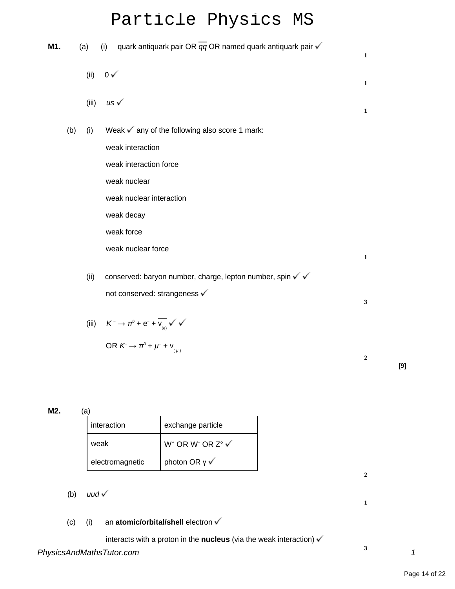# Particle Physics MS

| M1. |     | (a)   | (i) quark antiquark pair OR $\overline{qq}$ OR named quark antiquark pair $\checkmark$ | $\mathbf{1}$ |
|-----|-----|-------|----------------------------------------------------------------------------------------|--------------|
|     |     | (ii)  | $0 \sqrt{ }$                                                                           | $\mathbf{1}$ |
|     |     | (iii) | $\overline{u}$ s $\checkmark$                                                          | $\mathbf{1}$ |
|     | (b) | (i)   | Weak $\checkmark$ any of the following also score 1 mark:                              |              |
|     |     |       | weak interaction                                                                       |              |
|     |     |       | weak interaction force                                                                 |              |
|     |     |       | weak nuclear                                                                           |              |
|     |     |       | weak nuclear interaction                                                               |              |
|     |     |       | weak decay                                                                             |              |
|     |     |       | weak force                                                                             |              |
|     |     |       | weak nuclear force                                                                     | $\mathbf{1}$ |
|     |     | (ii)  | conserved: baryon number, charge, lepton number, spin √ √                              |              |
|     |     |       | not conserved: strangeness v                                                           | $\mathbf{3}$ |
|     |     |       | (iii) $K^- \rightarrow \pi^0 + e^- + \overline{v_{(e)}} \sqrt{v}$                      |              |
|     |     |       | OR $K \to \pi^0 + \mu^- + \overline{v_{\mu\nu}^+}$                                     | $\mathbf{2}$ |

**M2.** (a)

| interaction     | exchange particle                                               |  |  |
|-----------------|-----------------------------------------------------------------|--|--|
| weak            | W <sup>+</sup> OR W <sup>-</sup> OR Z <sup>o</sup> $\checkmark$ |  |  |
| electromagnetic | photon OR $\sqrt{}$                                             |  |  |

## (b) uud  $\checkmark$

## (c) (i) an **atomic/orbital/shell** electron

interacts with a proton in the **nucleus** (via the weak interaction)

**2**

**1**

**3**

**[9]**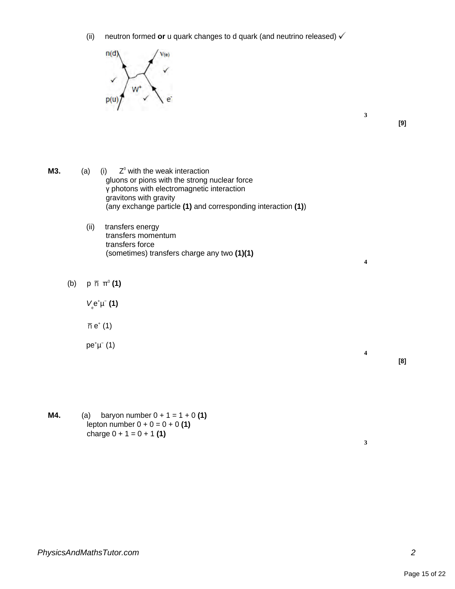(ii) neutron formed **or** u quark changes to d quark (and neutrino released)



**3**

**4**

**4**

**[9]**

- 
- **M3.** (a) (i)  $Z<sup>0</sup>$  with the weak interaction gluons or pions with the strong nuclear force γ photons with electromagnetic interaction gravitons with gravity (any exchange particle **(1)** and corresponding interaction **(1)**)
	- (ii) transfers energy transfers momentum transfers force (sometimes) transfers charge any two **(1)(1)**
	- (b) p π 0 **(1)**

 $V_e^e$ e<sup>+</sup>µ<sup>−</sup> (1)

- $e^+(1)$
- pe<sup>+</sup>µ<sup>−</sup> (1)

**M4.** (a) baryon number  $0 + 1 = 1 + 0$  (1) lepton number  $0 + 0 = 0 + 0$  (1) charge  $0 + 1 = 0 + 1$  (1)

**[8]**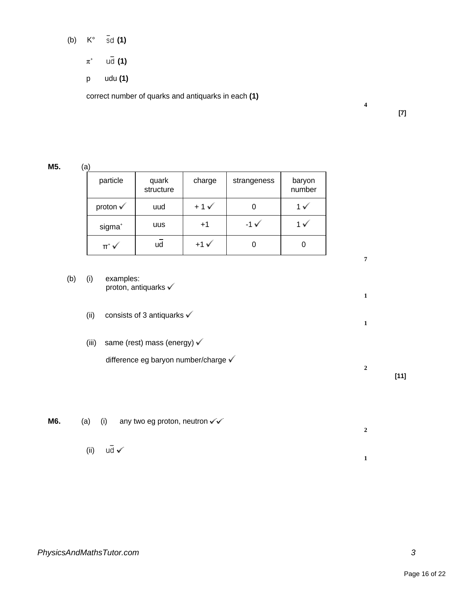(b)  $K^{\circ}$  **6d (1)** 

- $\pi^*$ **(1)**
- p udu **(1)**

correct number of quarks and antiquarks in each **(1)**

**[7]**

**4**

**7**

**1**

**1**

**2**

### **M5.** (a)

| particle            | quark<br>structure | charge            | strangeness   | baryon<br>number |
|---------------------|--------------------|-------------------|---------------|------------------|
| proton $\checkmark$ | uud                | $+1\sqrt{ }$      |               |                  |
| sigma <sup>+</sup>  | uus                | $+1$              | $-1 \sqrt{ }$ |                  |
| $\Pi^+$ $\sqrt{ }$  | ud                 | $+1$ $\checkmark$ |               |                  |

- (b) (i) examples: proton, antiquarks  $\checkmark$ 
	- (ii) consists of 3 antiquarks  $\checkmark$
	- (iii) same (rest) mass (energy)  $\checkmark$

difference eg baryon number/charge √

**[11]**

**M6.** (a) (i) any two eg proton, neutron  $\checkmark\checkmark$ **2** (ii)  $u\overline{d}$   $\checkmark$ **1**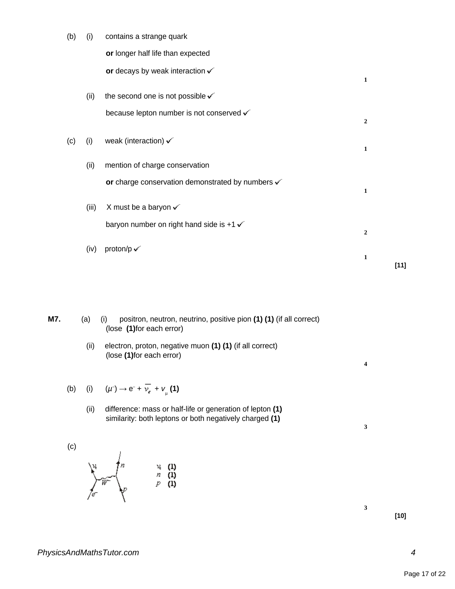| (b) | (i)   | contains a strange quark                                    |                  |
|-----|-------|-------------------------------------------------------------|------------------|
|     |       | or longer half life than expected                           |                  |
|     |       | or decays by weak interaction $\checkmark$                  | $\mathbf{1}$     |
|     | (ii)  | the second one is not possible $\checkmark$                 |                  |
|     |       | because lepton number is not conserved v                    | $\overline{2}$   |
| (c) | (i)   | weak (interaction) $\checkmark$                             | $\mathbf{1}$     |
|     | (ii)  | mention of charge conservation                              |                  |
|     |       | or charge conservation demonstrated by numbers $\checkmark$ | $\mathbf{1}$     |
|     | (iii) | X must be a baryon $\checkmark$                             |                  |
|     |       | baryon number on right hand side is $+1 \checkmark$         | $\boldsymbol{2}$ |
|     | (iv)  | proton/p $\checkmark$                                       |                  |
|     |       |                                                             | $\mathbf{1}$     |

**M7.** (a) (i) positron, neutron, neutrino, positive pion **(1) (1)** (if all correct) (lose **(1)**for each error)

> (ii) electron, proton, negative muon **(1) (1)** (if all correct) (lose **(1)**for each error)

(b) (i) 
$$
(\mu \rightarrow e^- + \overline{\nu}_e + \nu_{\mu}
$$
 (1)

(ii) difference: mass or half-life or generation of lepton **(1)** similarity: both leptons or both negatively charged **(1)**

(c)

$$
\sum_{f=1}^{n} \mathbf{w} \begin{pmatrix} n & & & & \mathbf{w} & \mathbf{u} \\ n & & & & n & \mathbf{u} \\ n & & & & p & \mathbf{u} \end{pmatrix}
$$

**[10]**

**[11]**

**4**

**3**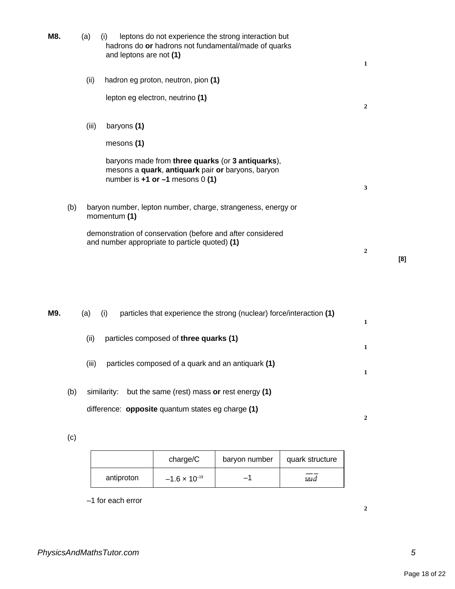| M8. | (a)   | leptons do not experience the strong interaction but<br>(i)<br>hadrons do or hadrons not fundamental/made of quarks<br>and leptons are not (1) | 1                |     |
|-----|-------|------------------------------------------------------------------------------------------------------------------------------------------------|------------------|-----|
|     | (ii)  | hadron eg proton, neutron, pion (1)                                                                                                            |                  |     |
|     |       | lepton eg electron, neutrino (1)                                                                                                               | 2                |     |
|     | (iii) | baryons (1)                                                                                                                                    |                  |     |
|     |       | mesons (1)                                                                                                                                     |                  |     |
|     |       | baryons made from three quarks (or 3 antiquarks),<br>mesons a quark, antiquark pair or baryons, baryon<br>number is $+1$ or $-1$ mesons 0 (1)  | 3                |     |
| (b) |       | baryon number, lepton number, charge, strangeness, energy or<br>momentum (1)                                                                   |                  |     |
|     |       | demonstration of conservation (before and after considered<br>and number appropriate to particle quoted) (1)                                   | $\boldsymbol{2}$ | [8] |

| M9. |     | particles that experience the strong (nuclear) force/interaction (1)<br>(a)<br>(i)                                     | 1 |
|-----|-----|------------------------------------------------------------------------------------------------------------------------|---|
|     |     | particles composed of three quarks (1)<br>(ii)                                                                         | 1 |
|     |     | particles composed of a quark and an antiquark (1)<br>(iii)                                                            |   |
|     | (b) | but the same (rest) mass or rest energy (1)<br>similarity:<br>difference: <b>opposite</b> quantum states eg charge (1) |   |
|     |     |                                                                                                                        |   |

(c)

|            | charge/C               | baryon number | quark structure |
|------------|------------------------|---------------|-----------------|
| antiproton | $-1.6 \times 10^{-19}$ | -1            | uud             |

–1 for each error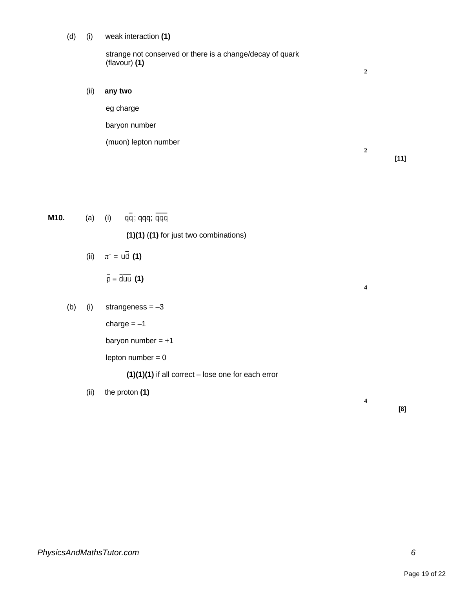#### (d) (i) weak interaction **(1)**

strange not conserved or there is a change/decay of quark (flavour) **(1)**

(ii) **any two**

eg charge baryon number (muon) lepton number

**[11]**

**2**

**2**

**4**

**4**

| M10. |     | (a) | (i)<br>qq; qqq; qqq                                  |
|------|-----|-----|------------------------------------------------------|
|      |     |     | $(1)(1)$ $((1)$ for just two combinations)           |
|      |     |     | (ii) $\pi^* = \overline{u} \overline{d}$ (1)         |
|      |     |     | $\bar{p} = \overline{duu}$ (1)                       |
|      | (b) | (i) | strangeness $=-3$                                    |
|      |     |     | charge $=-1$                                         |
|      |     |     | baryon number = $+1$                                 |
|      |     |     | lepton number $= 0$                                  |
|      |     |     | $(1)(1)(1)$ if all correct – lose one for each error |

(ii) the proton **(1)**

**[8]**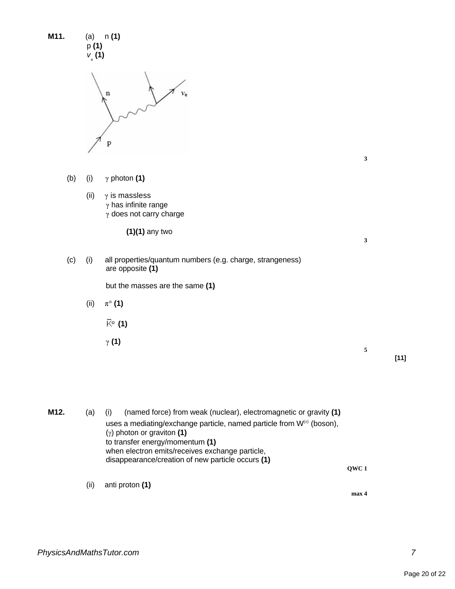| M11. | (a)<br>p(1)<br>$v_{\rm_e}$ (1) | n(1)                                                                                                                                                                                                                                                                                                                                     |              |        |
|------|--------------------------------|------------------------------------------------------------------------------------------------------------------------------------------------------------------------------------------------------------------------------------------------------------------------------------------------------------------------------------------|--------------|--------|
|      |                                | n<br>р                                                                                                                                                                                                                                                                                                                                   |              |        |
|      |                                |                                                                                                                                                                                                                                                                                                                                          | $\mathbf{3}$ |        |
| (b)  | (i)                            | $\gamma$ photon (1)                                                                                                                                                                                                                                                                                                                      |              |        |
|      | (ii)                           | $\gamma$ is massless<br>$\gamma$ has infinite range<br>$\gamma$ does not carry charge                                                                                                                                                                                                                                                    |              |        |
|      |                                | $(1)(1)$ any two                                                                                                                                                                                                                                                                                                                         | $\mathbf{3}$ |        |
| (c)  | (i)                            | all properties/quantum numbers (e.g. charge, strangeness)<br>are opposite (1)                                                                                                                                                                                                                                                            |              |        |
|      |                                | but the masses are the same (1)                                                                                                                                                                                                                                                                                                          |              |        |
|      | (ii)                           | $\pi^{\circ}$ (1)                                                                                                                                                                                                                                                                                                                        |              |        |
|      |                                | $\overline{K}^{\circ}$ (1)                                                                                                                                                                                                                                                                                                               |              |        |
|      |                                | $\gamma$ (1)                                                                                                                                                                                                                                                                                                                             | 5            | $[11]$ |
| M12. | (a)                            | (named force) from weak (nuclear), electromagnetic or gravity (1)<br>(i)<br>uses a mediating/exchange particle, named particle from W <sup>(±)</sup> (boson),<br>$(y)$ photon or graviton (1)<br>to transfer energy/momentum (1)<br>when electron emits/receives exchange particle,<br>disappearance/creation of new particle occurs (1) | QWC1         |        |